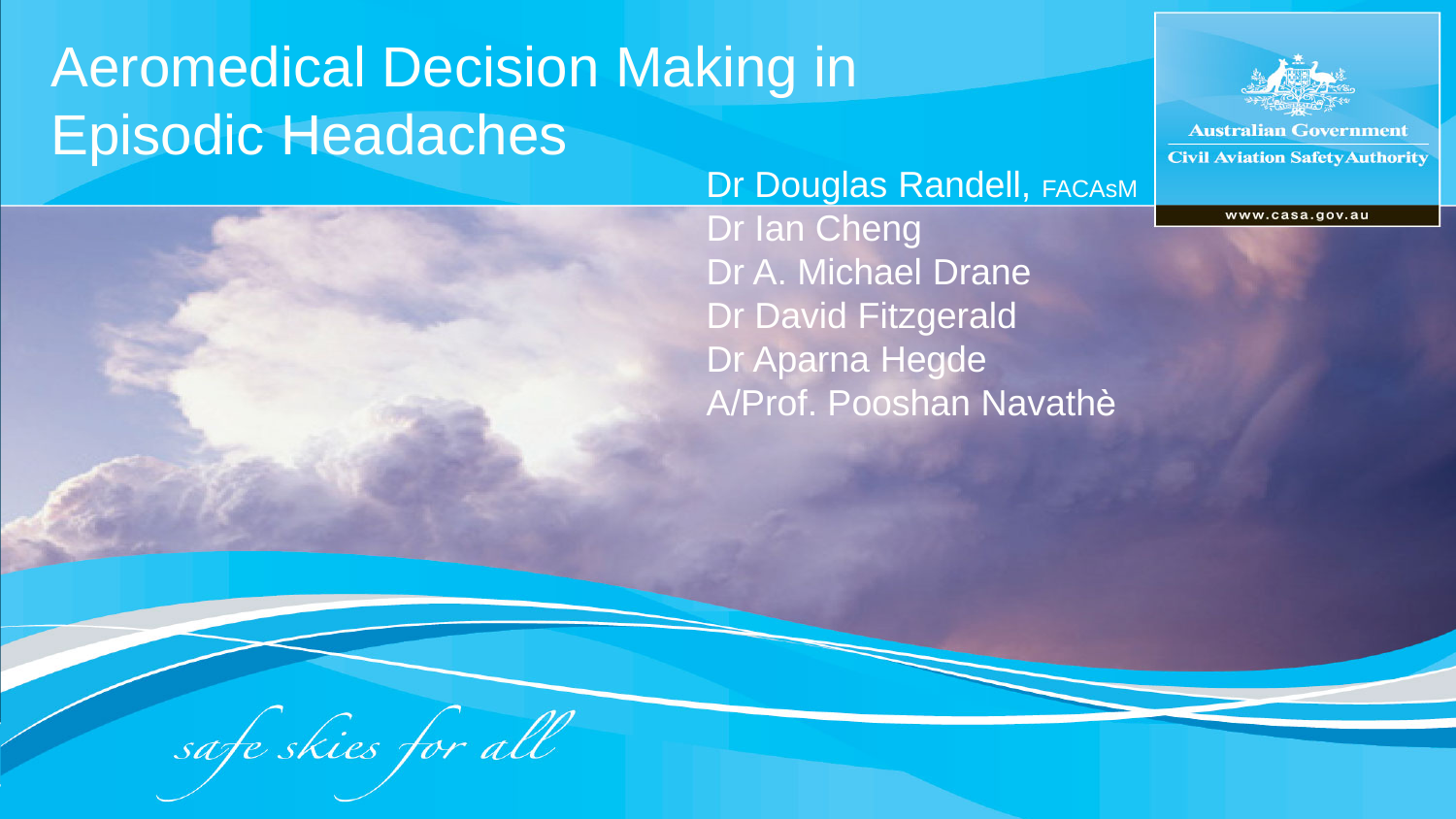#### Aeromedical Decision Making in Episodic Headaches Dr Douglas Randell, FACASM

#### Dr Ian Cheng Dr A. Michael Drane Dr David Fitzgerald Dr Aparna Hegde A/Prof. Pooshan Navathѐ



**Australian Government Civil Aviation Safety Authority** 

www.casa.gov.au

safe skies for all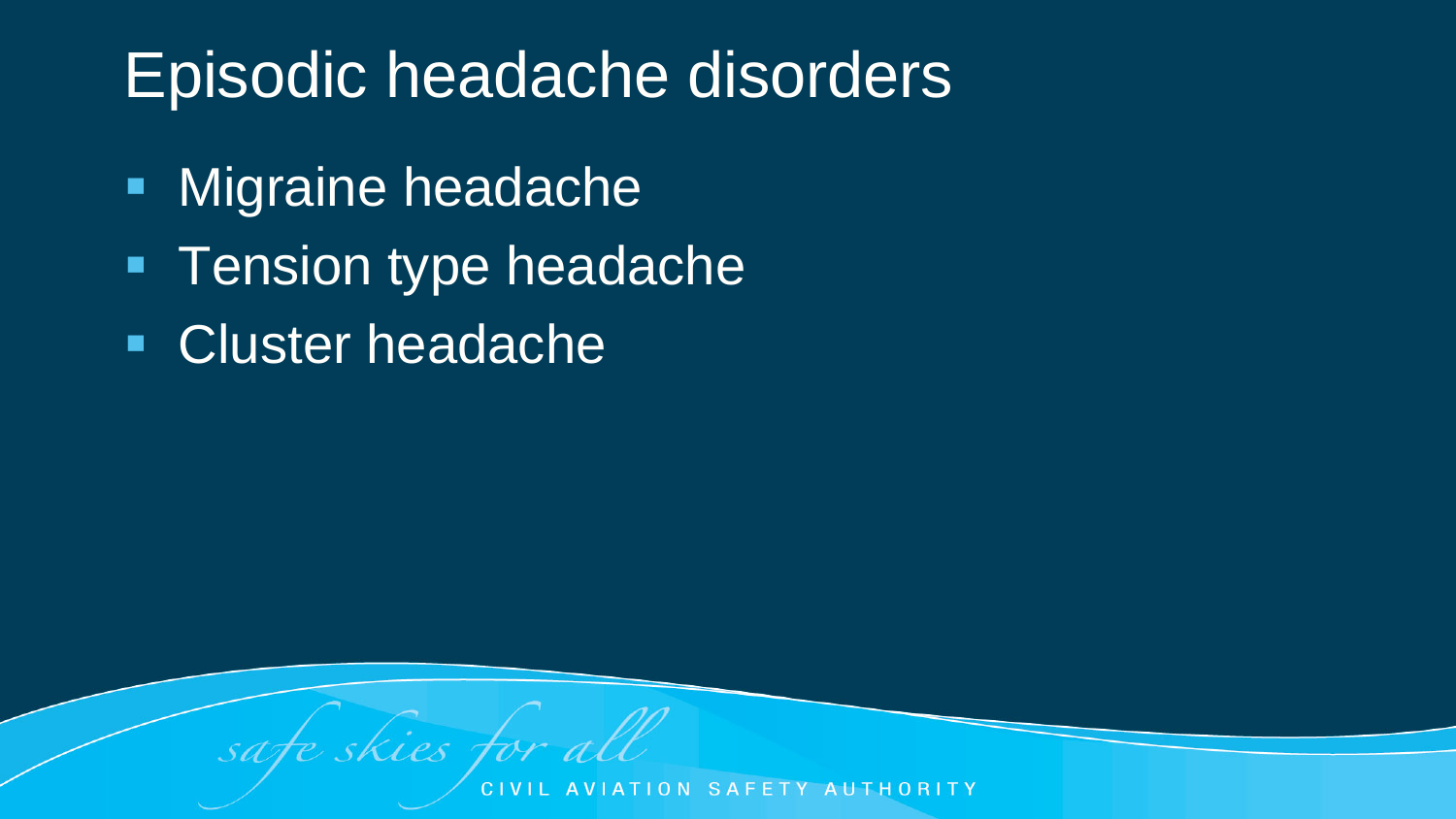### Episodic headache disorders

- **Nigraine headache**
- **Tension type headache**

skies for all

**Cluster headache** 

sate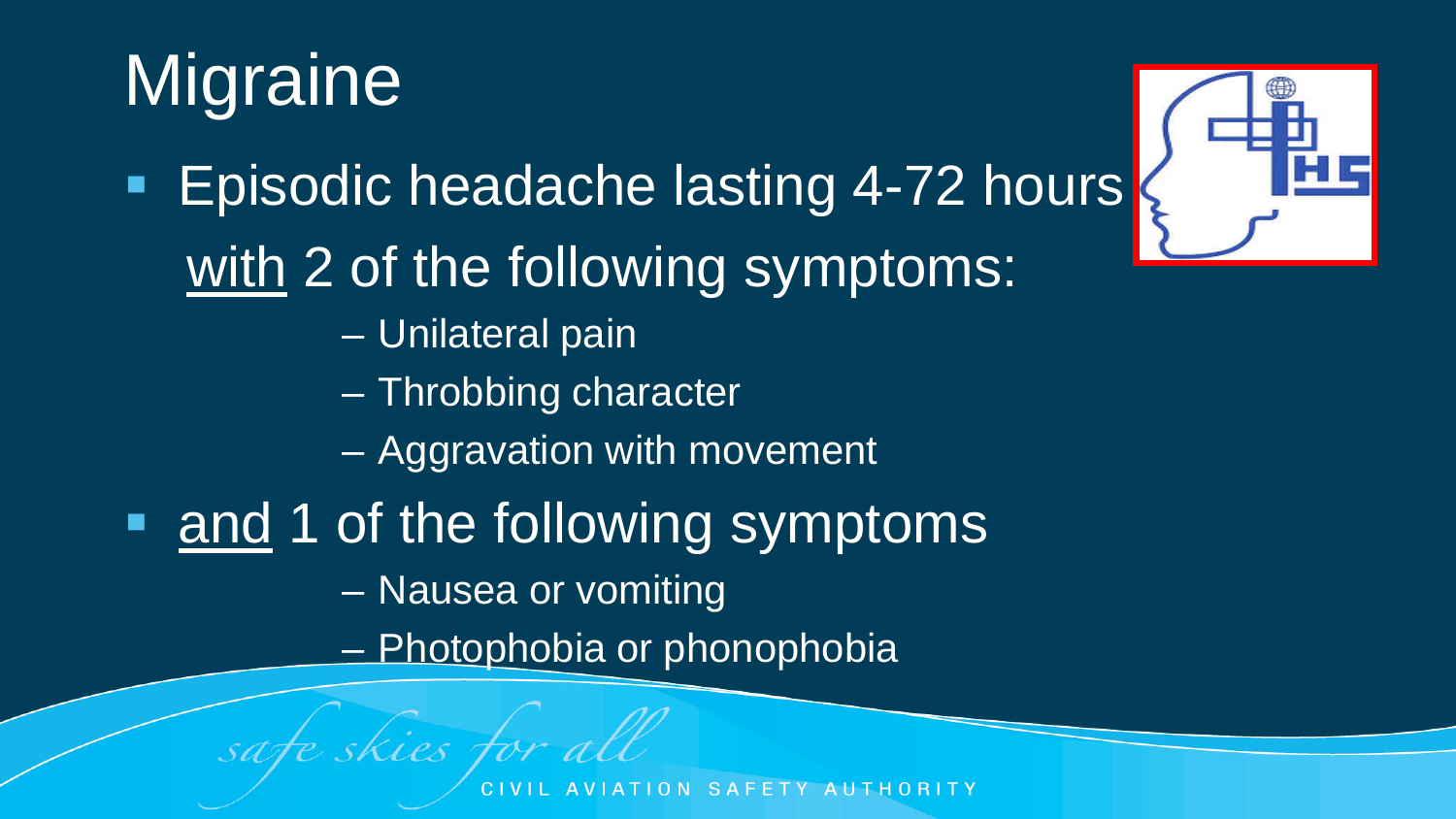# **Migraine**

- 
- **Episodic headache lasting 4-72 hours** with 2 of the following symptoms:
	- Unilateral pain
	- Throbbing character
	- Aggravation with movement
- and 1 of the following symptoms
	- Nausea or vomiting

safe skies for all

– Photophobia or phonophobia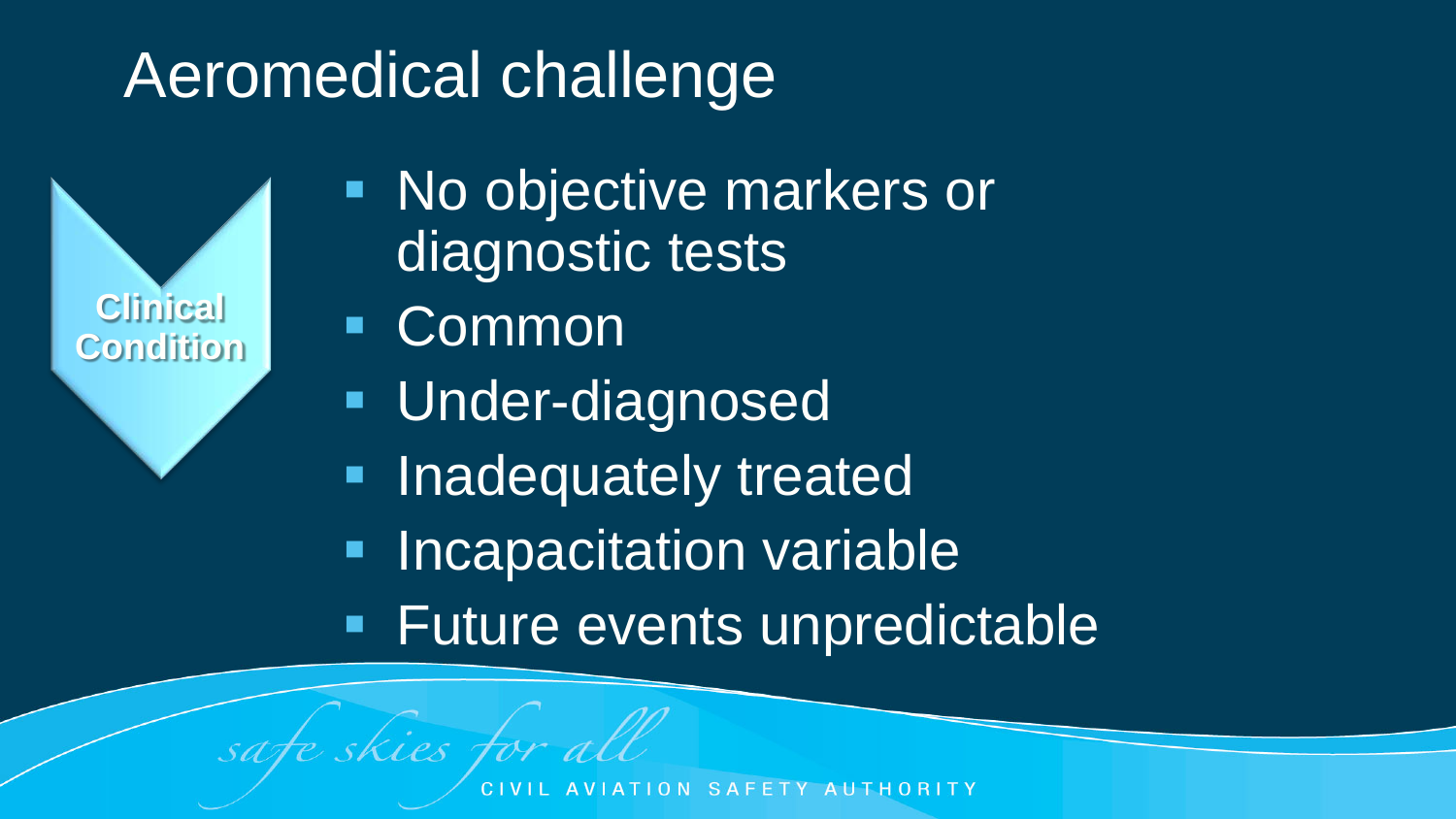### Aeromedical challenge

**Clinical Condition**

- No objective markers or diagnostic tests
- Common

safe skies for all

- Under-diagnosed
- Inadequately treated
- **Incapacitation variable**
- **Future events unpredictable**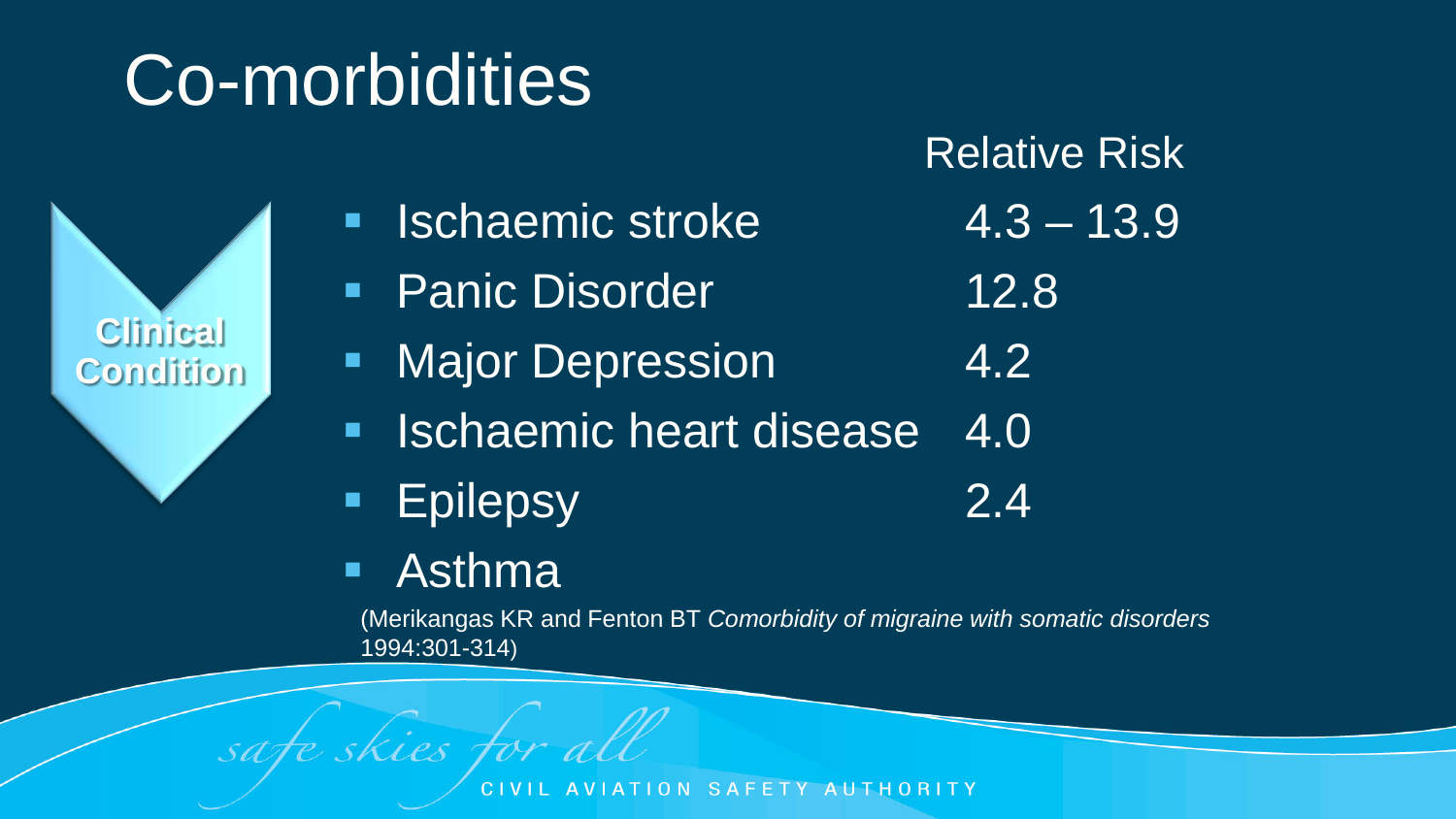## Co-morbidities

Relative Risk

- **In Ischaemic stroke 4.3 13.9**
- **Panic Disorder 12.8**
- **Major Depression** 4.2
- **In Ischaemic heart disease 4.0**
- Epilepsy 2.4
- Asthma

skies for all

(Merikangas KR and Fenton BT *Comorbidity of migraine with somatic disorders*  1994:301-314)

**Clinical Condition**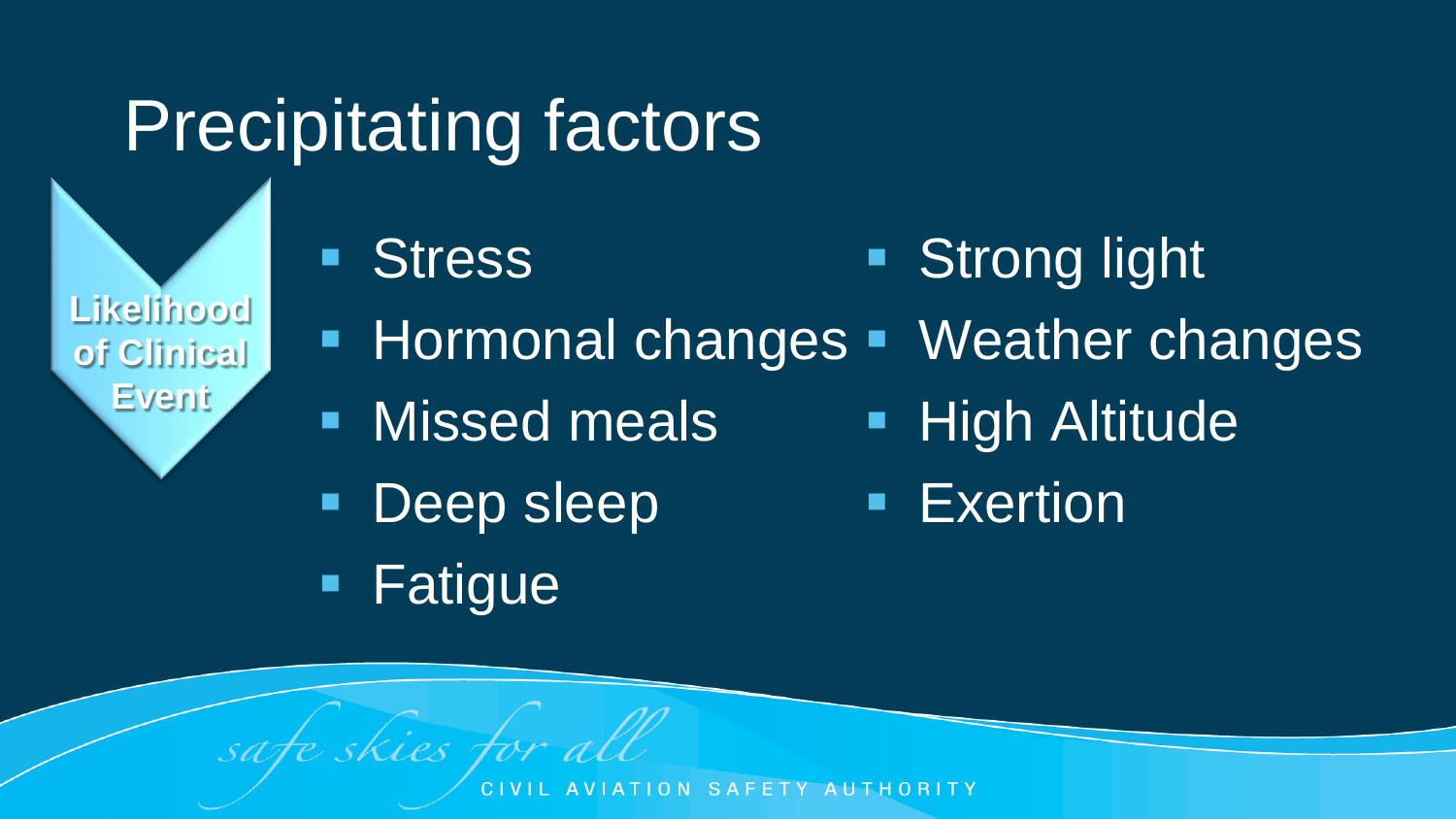## Precipitating factors

**Likelihood of Clinical Event**

- **Stress Strong light**
- **Hormonal changes** Weather changes
- **Nissed meals**
- **Deep sleep**
- **High Altitude**
- **Exertion**

**Fatigue** 

safe skies for all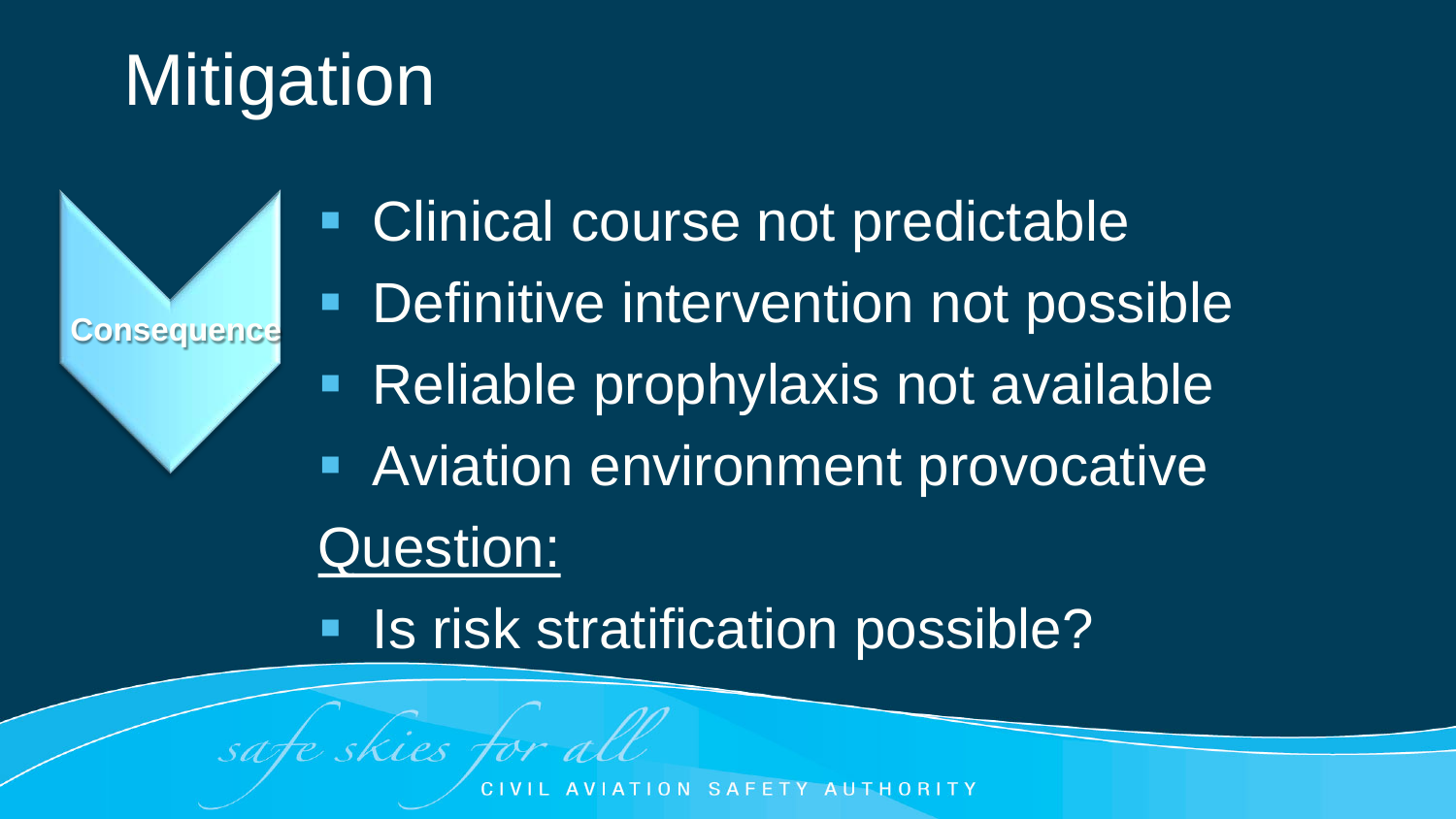## **Mitigation**

**Consequence**

 Clinical course not predictable **• Definitive intervention not possible**  Reliable prophylaxis not available **Aviation environment provocative** Question:

**Is risk stratification possible?** 

fe skies for all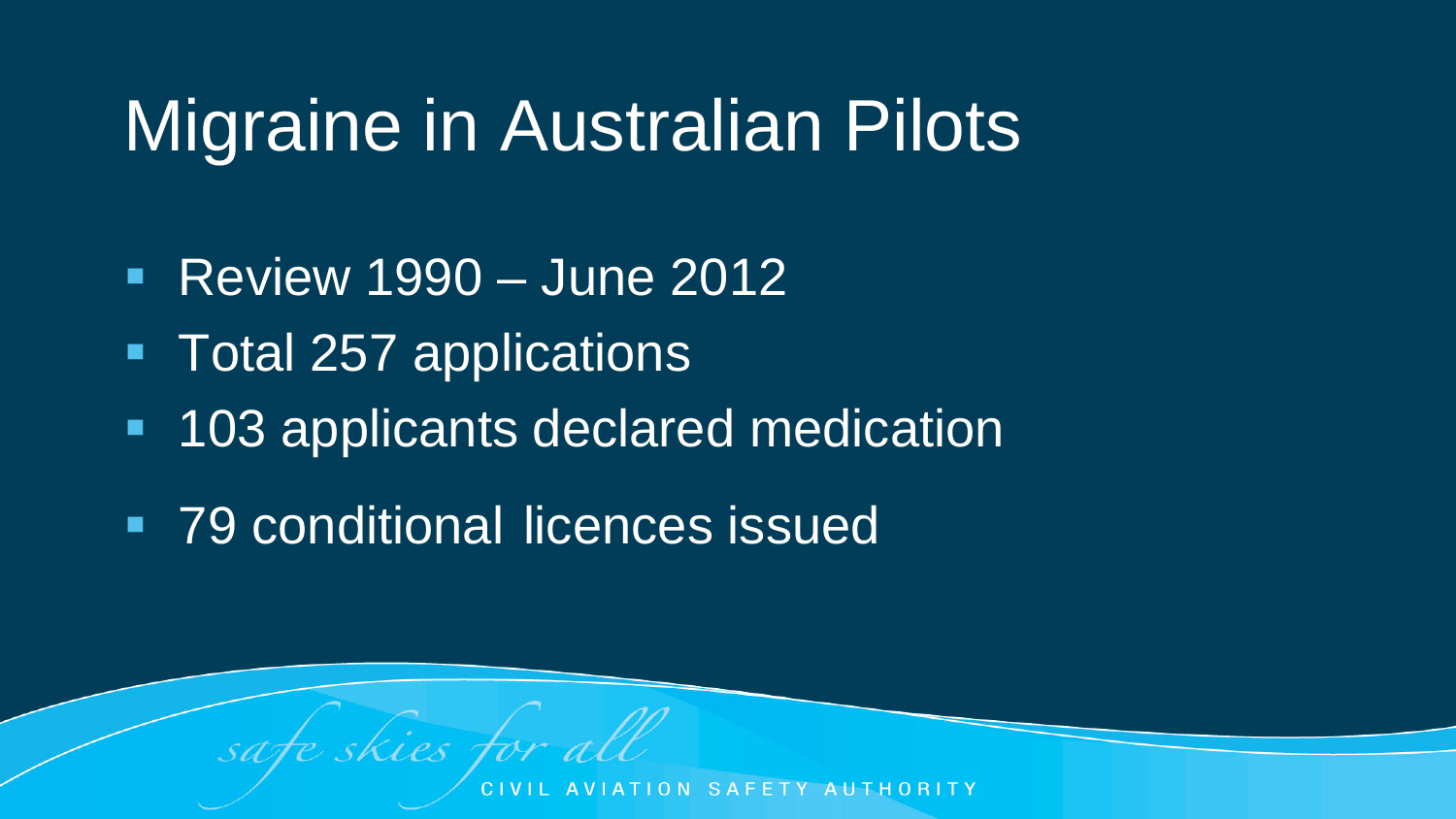## Migraine in Australian Pilots

- Review 1990 June 2012
- **Total 257 applications**
- **103 applicants declared medication**
- **79 conditional licences issued**

skies for all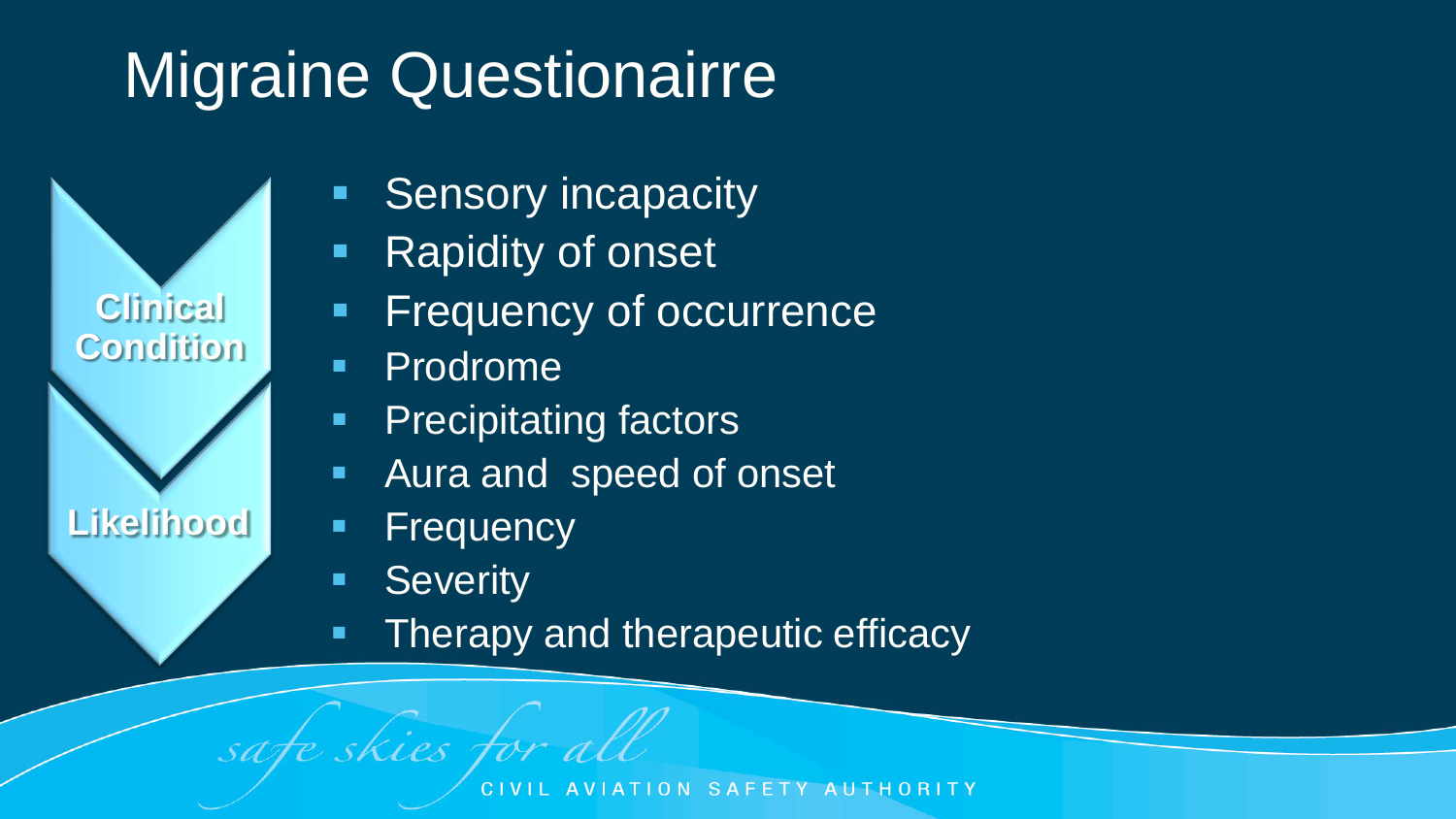## **Migraine Questionairre**



- **Rapidity of onset**
- Frequency of occurrence
- **-** Prodrome

**Clinical** 

**Condition**

**Likelihood**

- **Precipitating factors**
- Aura and speed of onset
- **Frequency**
- **Severity**

safe skies for all

**Therapy and therapeutic efficacy**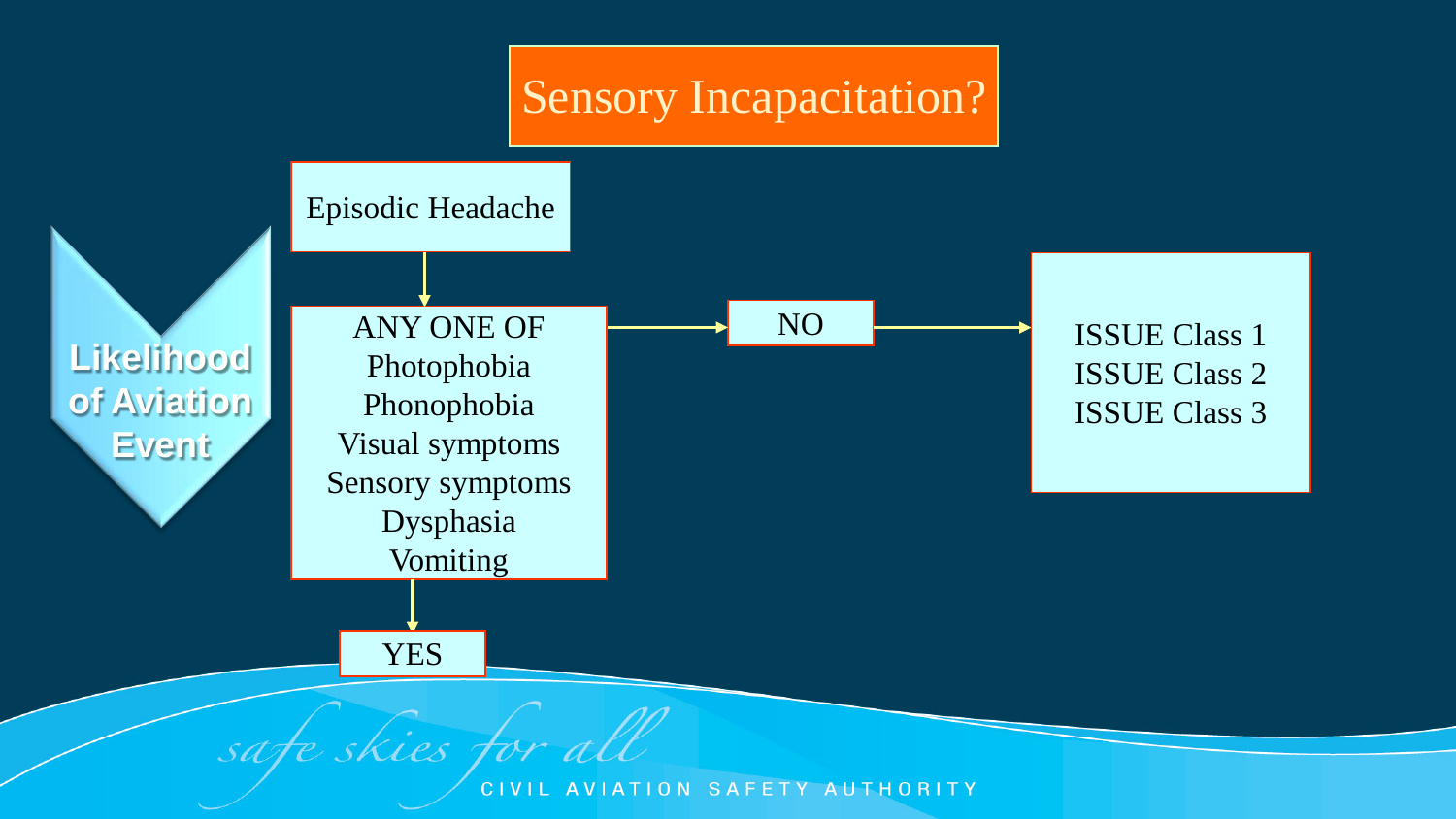#### Sensory Incapacitation?



**CIVIL** AVIATION SAFETY AUTHORITY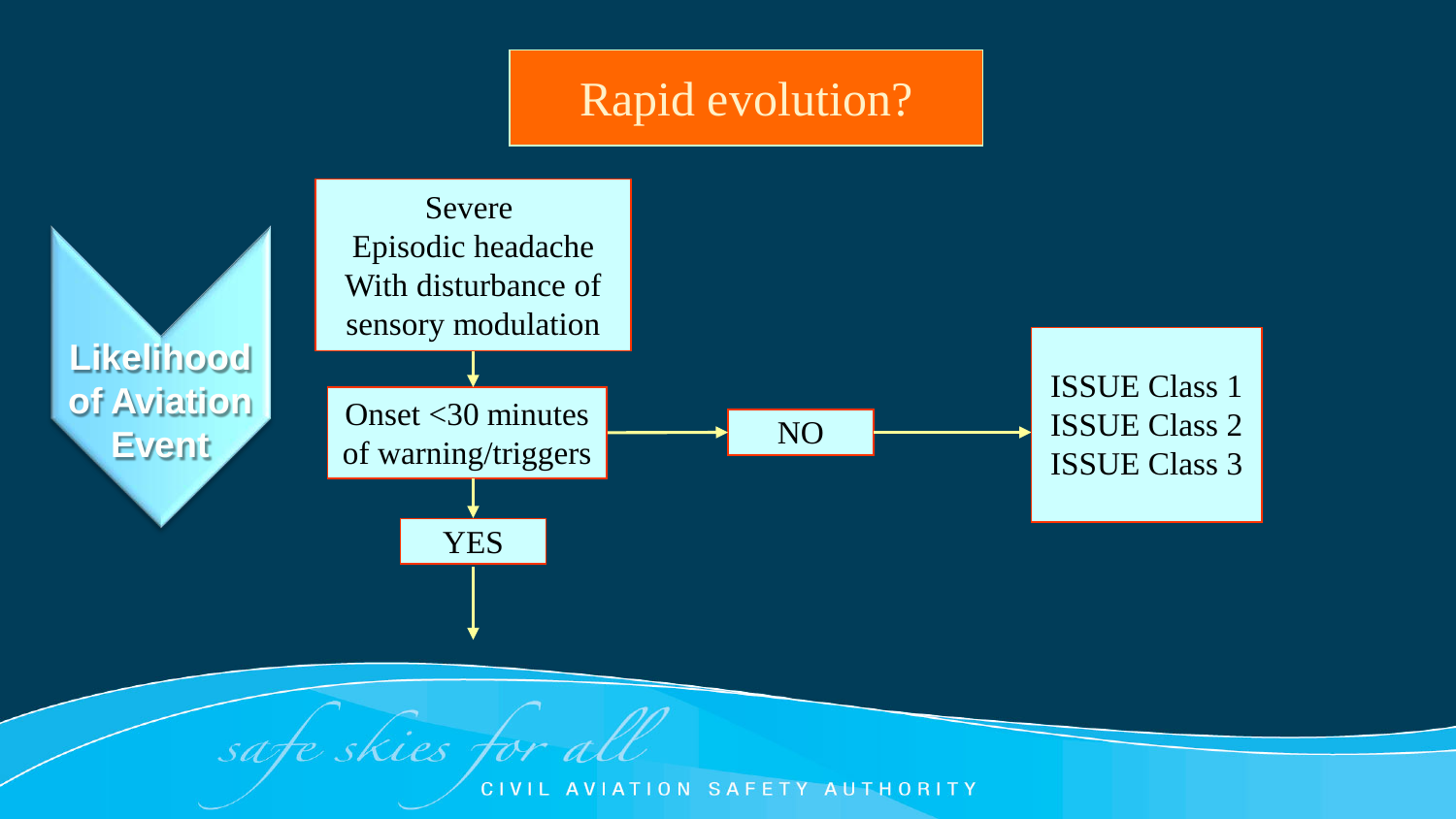#### Rapid evolution?



safe skies for all

**CIVIL** AVIATION SAFETY AUTHORITY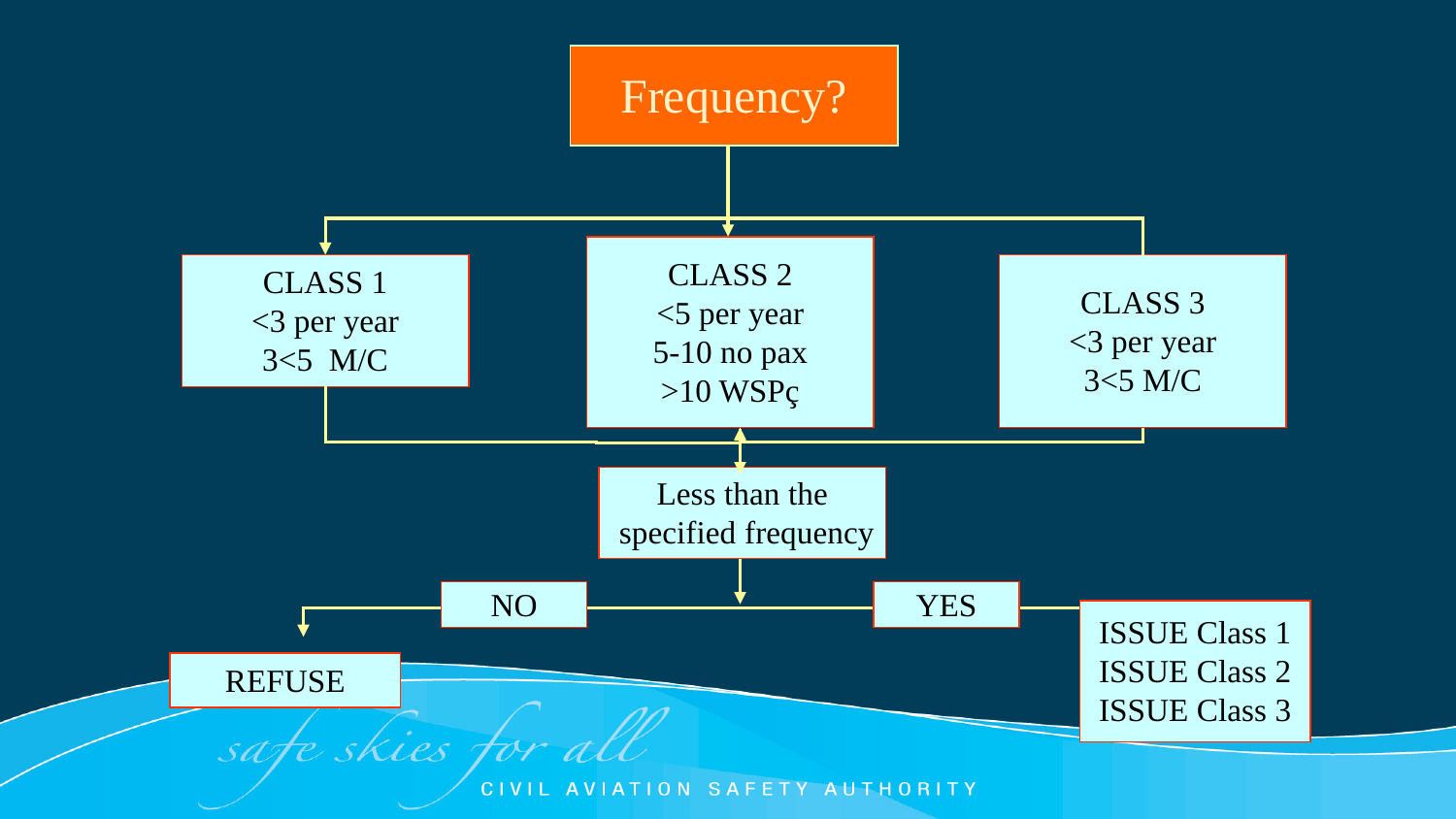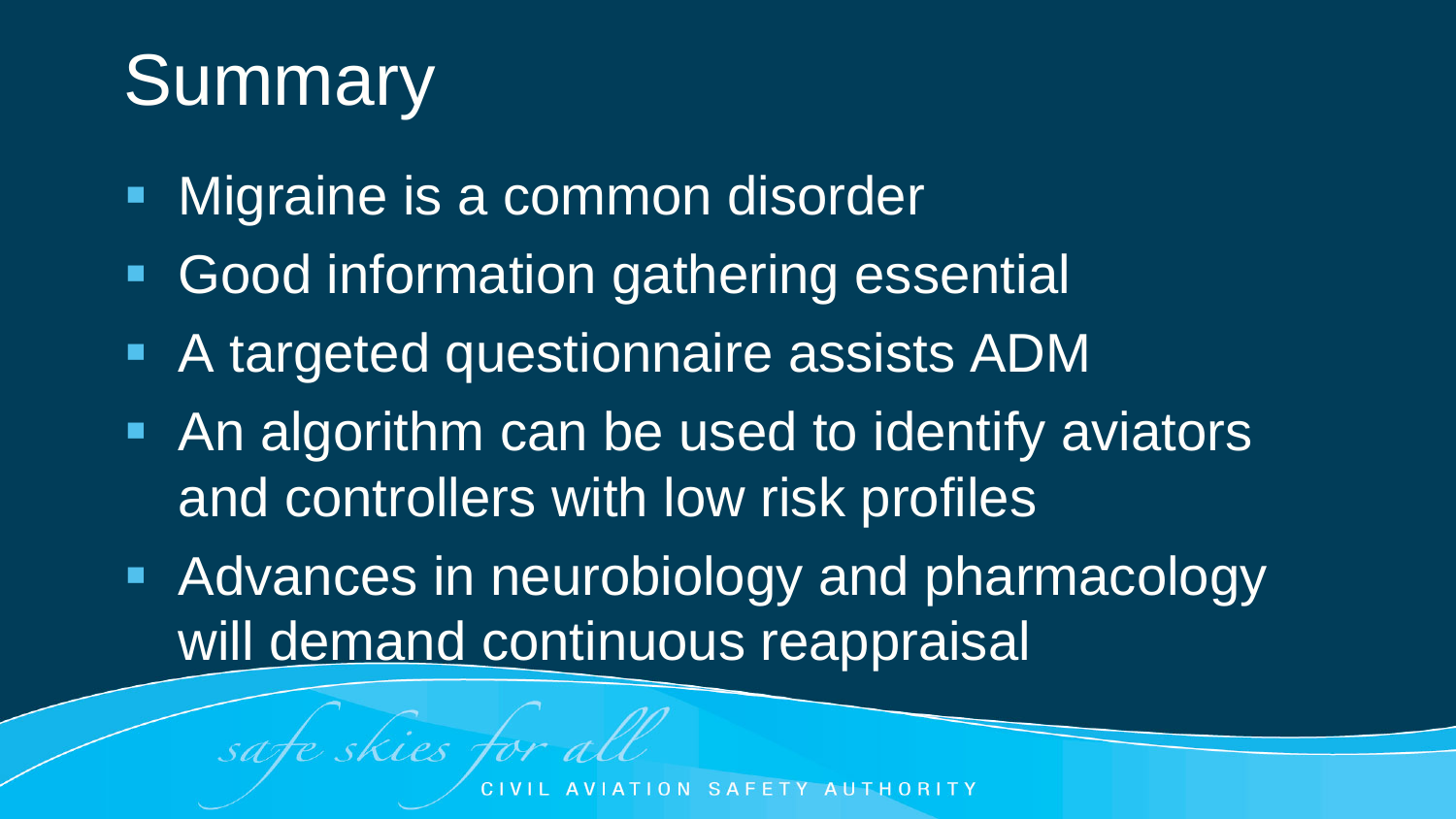# Summary

**Nigraine is a common disorder** 

safe skies for all

- **Good information gathering essential**
- A targeted questionnaire assists ADM
- **An algorithm can be used to identify aviators** and controllers with low risk profiles
- **Advances in neurobiology and pharmacology** will demand continuous reappraisal